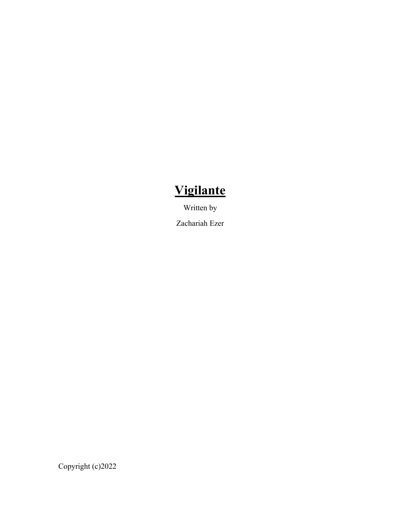# **Vigilante**

Written by

Zachariah Ezer

Copyright (c)2022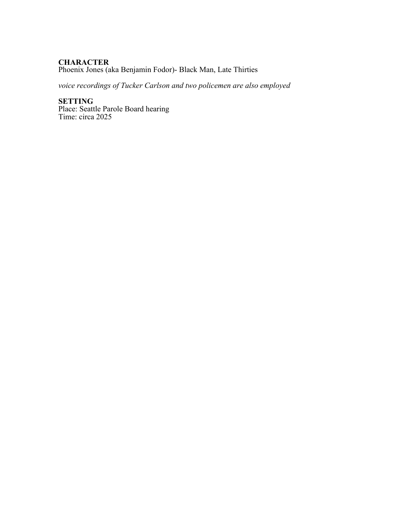## **CHARACTER**

Phoenix Jones (aka Benjamin Fodor)- Black Man, Late Thirties

*voice recordings of Tucker Carlson and two policemen are also employed*

**SETTING** Place: Seattle Parole Board hearing Time: circa 2025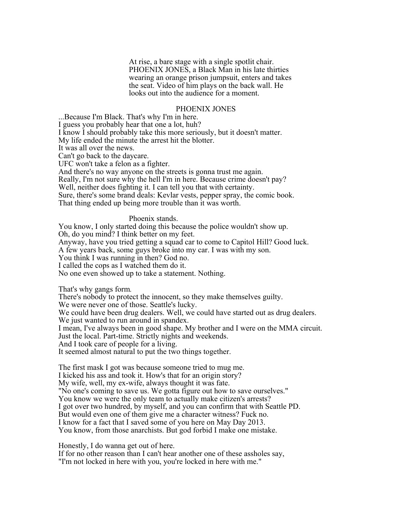At rise, a bare stage with a single spotlit chair. PHOENIX JONES, a Black Man in his late thirties wearing an orange prison jumpsuit, enters and takes the seat. Video of him plays on the back wall. He looks out into the audience for a moment.

#### PHOENIX JONES

...Because I'm Black. That's why I'm in here. I guess you probably hear that one a lot, huh? I know I should probably take this more seriously, but it doesn't matter. My life ended the minute the arrest hit the blotter. It was all over the news. Can't go back to the daycare. UFC won't take a felon as a fighter. And there's no way anyone on the streets is gonna trust me again. Really, I'm not sure why the hell I'm in here. Because crime doesn't pay? Well, neither does fighting it. I can tell you that with certainty. Sure, there's some brand deals: Kevlar vests, pepper spray, the comic book. That thing ended up being more trouble than it was worth.

#### Phoenix stands.

You know, I only started doing this because the police wouldn't show up. Oh, do you mind? I think better on my feet. Anyway, have you tried getting a squad car to come to Capitol Hill? Good luck. A few years back, some guys broke into my car. I was with my son. You think I was running in then? God no. I called the cops as I watched them do it. No one even showed up to take a statement. Nothing.

That's why gangs form*.*

There's nobody to protect the innocent, so they make themselves guilty.

We were never one of those. Seattle's lucky.

We could have been drug dealers. Well, we could have started out as drug dealers.

We just wanted to run around in spandex.

I mean, I've always been in good shape. My brother and I were on the MMA circuit.

Just the local. Part-time. Strictly nights and weekends.

And I took care of people for a living.

It seemed almost natural to put the two things together.

The first mask I got was because someone tried to mug me. I kicked his ass and took it. How's that for an origin story?

My wife, well, my ex-wife, always thought it was fate.

"No one's coming to save us. We gotta figure out how to save ourselves."

You know we were the only team to actually make citizen's arrests?

I got over two hundred, by myself, and you can confirm that with Seattle PD.

But would even one of them give me a character witness? Fuck no.

I know for a fact that I saved some of you here on May Day 2013.

You know, from those anarchists. But god forbid I make one mistake.

Honestly, I do wanna get out of here.

If for no other reason than I can't hear another one of these assholes say, "I'm not locked in here with you, you're locked in here with me."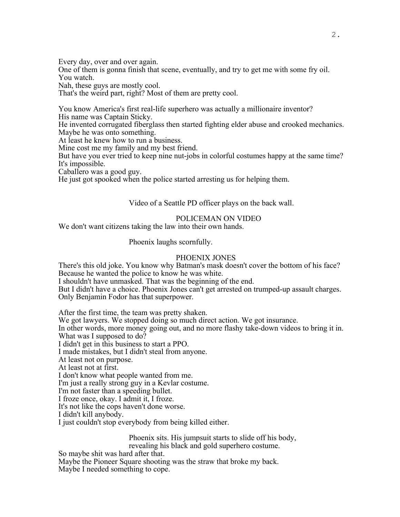Every day, over and over again.

One of them is gonna finish that scene, eventually, and try to get me with some fry oil. You watch.

Nah, these guys are mostly cool.

That's the weird part, right? Most of them are pretty cool.

You know America's first real-life superhero was actually a millionaire inventor? His name was Captain Sticky.

He invented corrugated fiberglass then started fighting elder abuse and crooked mechanics. Maybe he was onto something.

At least he knew how to run a business.

Mine cost me my family and my best friend.

But have you ever tried to keep nine nut-jobs in colorful costumes happy at the same time? It's impossible.

Caballero was a good guy.

He just got spooked when the police started arresting us for helping them.

Video of a Seattle PD officer plays on the back wall.

### POLICEMAN ON VIDEO

We don't want citizens taking the law into their own hands.

Phoenix laughs scornfully.

#### PHOENIX JONES

There's this old joke. You know why Batman's mask doesn't cover the bottom of his face? Because he wanted the police to know he was white.

I shouldn't have unmasked. That was the beginning of the end.

But I didn't have a choice. Phoenix Jones can't get arrested on trumped-up assault charges. Only Benjamin Fodor has that superpower.

After the first time, the team was pretty shaken.

We got lawyers. We stopped doing so much direct action. We got insurance.

In other words, more money going out, and no more flashy take-down videos to bring it in. What was I supposed to do?

I didn't get in this business to start a PPO.

I made mistakes, but I didn't steal from anyone.

At least not on purpose.

At least not at first.

I don't know what people wanted from me.

I'm just a really strong guy in a Kevlar costume.

I'm not faster than a speeding bullet.

I froze once, okay. I admit it, I froze.

It's not like the cops haven't done worse.

I didn't kill anybody.

I just couldn't stop everybody from being killed either.

Phoenix sits. His jumpsuit starts to slide off his body, revealing his black and gold superhero costume.

So maybe shit was hard after that.

Maybe the Pioneer Square shooting was the straw that broke my back. Maybe I needed something to cope.